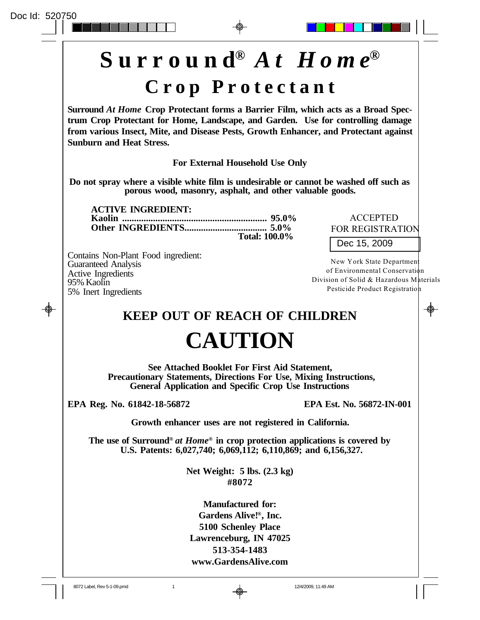

**EPA Reg. No. 61842-18-56872 EPA Est. No. 56872-IN-001**

**Growth enhancer uses are not registered in California.**

**The use of Surround®** *at Home***® in crop protection applications is covered by U.S. Patents: 6,027,740; 6,069,112; 6,110,869; and 6,156,327.**

> **Net Weight: 5 lbs. (2.3 kg) #8072**

**Manufactured for: Gardens Alive!®, Inc. 5100 Schenley Place Lawrenceburg, IN 47025 513-354-1483 www.GardensAlive.com**

8072 Label, Rev 5-1-09.pmd 1 1 12/4/2009, 11:49 AM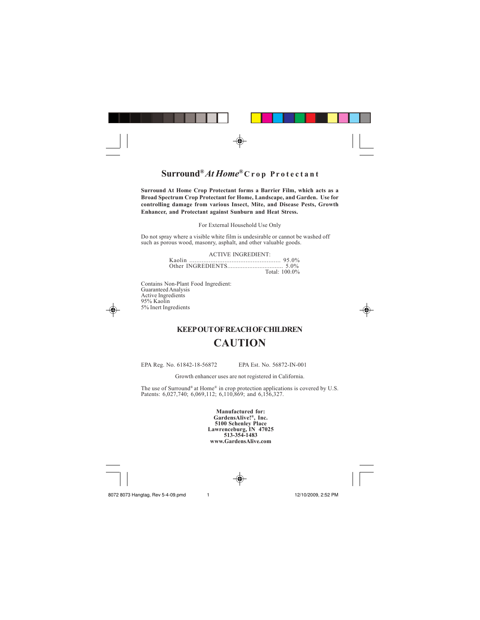

## **Surround®** *At Home***® C r o p P r o t e c t a n t**

**Surround At Home Crop Protectant forms a Barrier Film, which acts as a Broad Spectrum Crop Protectant for Home, Landscape, and Garden. Use for controlling damage from various Insect, Mite, and Disease Pests, Growth Enhancer, and Protectant against Sunburn and Heat Stress.**

For External Household Use Only

Do not spray where a visible white film is undesirable or cannot be washed off such as porous wood, masonry, asphalt, and other valuable goods.

> ACTIVE INGREDIENT: Kaolin .................................................... 95.0% Other INGREDIENTS................................. 5.0%

Total: 100.0%

Contains Non-Plant Food Ingredient: Guaranteed Analysis Active Ingredients 95% Kaolin 5% Inert Ingredients



## **KEEP OUT OF REACH OF CHILDREN CAUTION**

EPA Reg. No. 61842-18-56872 EPA Est. No. 56872-IN-001

Growth enhancer uses are not registered in California.

The use of Surround® at Home® in crop protection applications is covered by U.S. Patents: 6,027,740; 6,069,112; 6,110,869; and 6,156,327.

**Manufactured for: GardensAlive!® , Inc. 5100 Schenley Place Lawrenceburg, IN 47025 513-354-1483 www.GardensAlive.com**

⊕



8072 8073 Hangtag, Rev 5-4-09.pmd 1 12/10/2009, 2:52 PM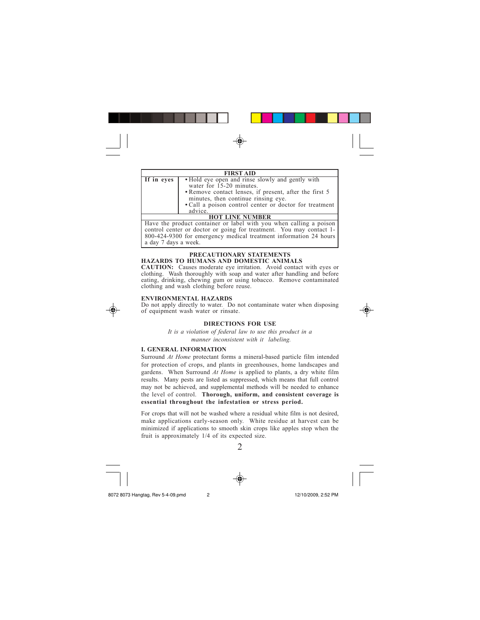

|            | <b>FIRST AID</b>                                                                                                                                                                                                                                   |
|------------|----------------------------------------------------------------------------------------------------------------------------------------------------------------------------------------------------------------------------------------------------|
| If in eyes | • Hold eye open and rinse slowly and gently with<br>water for 15-20 minutes.<br>• Remove contact lenses, if present, after the first 5<br>minutes, then continue rinsing eye.<br>• Call a poison control center or doctor for treatment<br>advice. |
|            | IOT LINE NHMRER                                                                                                                                                                                                                                    |

**HOT LINE NUMBER**<br>Have the product container or label with you when calling a poison control center or doctor or going for treatment. You may contact 1-800-424-9300 for emergency medical treatment information 24 hours a day 7 days a week.

# **PRECAUTIONARY STATEMENTS HAZARDS TO HUMANS AND DOMESTIC ANIMALS**

**CAUTION:** Causes moderate eye irritation. Avoid contact with eyes or clothing. Wash thoroughly with soap and water after handling and before eating, drinking, chewing gum or using tobacco. Remove contaminated clothing and wash clothing before reuse.

## **ENVIRONMENTAL HAZARDS**

Do not apply directly to water. Do not contaminate water when disposing of equipment wash water or rinsate.





*It is a violation of federal law to use this product in a manner inconsistent with it labeling.*

## **I. GENERAL INFORMATION**

Surround *At Home* protectant forms a mineral-based particle film intended for protection of crops, and plants in greenhouses, home landscapes and gardens. When Surround *At Home* is applied to plants, a dry white film results. Many pests are listed as suppressed, which means that full control may not be achieved, and supplemental methods will be needed to enhance the level of control. **Thorough, uniform, and consistent coverage is essential throughout the infestation or stress period.**

For crops that will not be washed where a residual white film is not desired, make applications early-season only. White residue at harvest can be minimized if applications to smooth skin crops like apples stop when the fruit is approximately 1/4 of its expected size.



8072 8073 Hangtag, Rev 5-4-09.pmd 2 12/10/2009, 2:52 PM

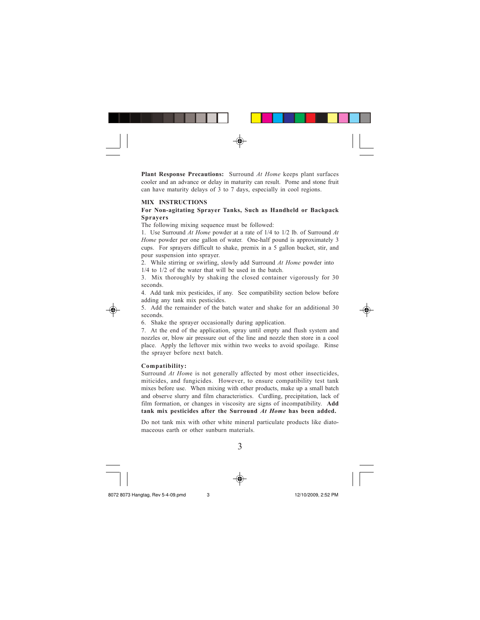

**Plant Response Precautions:** Surround *At Home* keeps plant surfaces cooler and an advance or delay in maturity can result. Pome and stone fruit can have maturity delays of 3 to 7 days, especially in cool regions.

#### **MIX INSTRUCTIONS**

#### **For Non-agitating Sprayer Tanks, Such as Handheld or Backpack Sprayers**

The following mixing sequence must be followed:

1. Use Surround *At Home* powder at a rate of 1/4 to 1/2 lb. of Surround *At Home* powder per one gallon of water. One-half pound is approximately 3 cups. For sprayers difficult to shake, premix in a 5 gallon bucket, stir, and pour suspension into sprayer.

2. While stirring or swirling, slowly add Surround *At Home* powder into 1/4 to 1/2 of the water that will be used in the batch.

3. Mix thoroughly by shaking the closed container vigorously for 30 seconds.

4. Add tank mix pesticides, if any. See compatibility section below before adding any tank mix pesticides.

5. Add the remainder of the batch water and shake for an additional 30 seconds.



7. At the end of the application, spray until empty and flush system and nozzles or, blow air pressure out of the line and nozzle then store in a cool place. Apply the leftover mix within two weeks to avoid spoilage. Rinse the sprayer before next batch.

#### **Compatibility:**

Surround *At Hom*e is not generally affected by most other insecticides, miticides, and fungicides. However, to ensure compatibility test tank mixes before use. When mixing with other products, make up a small batch and observe slurry and film characteristics. Curdling, precipitation, lack of film formation, or changes in viscosity are signs of incompatibility. **Add tank mix pesticides after the Surround** *At Home* **has been added.**

Do not tank mix with other white mineral particulate products like diatomaceous earth or other sunburn materials.

3





8072 8073 Hangtag, Rev 5-4-09.pmd 3 12/10/2009, 2:52 PM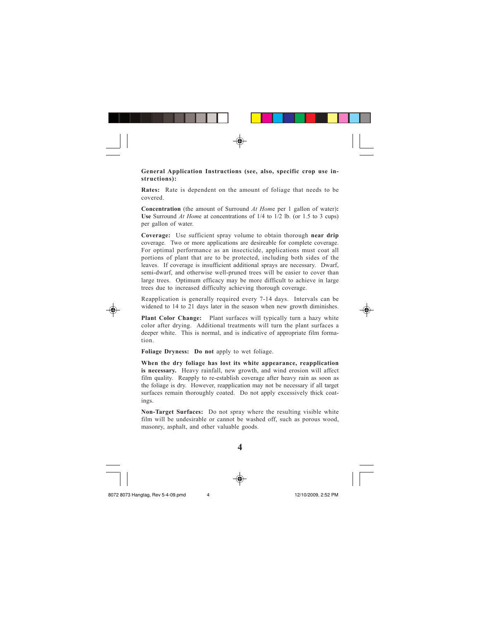

**General Application Instructions (see, also, specific crop use instructions):**

**Rates:** Rate is dependent on the amount of foliage that needs to be covered.

**Concentration** (the amount of Surround *At Hom*e per 1 gallon of water)**: Use** Surround *At Hom*e at concentrations of 1/4 to 1/2 lb. (or 1.5 to 3 cups) per gallon of water.

**Coverage:** Use sufficient spray volume to obtain thorough **near drip** coverage. Two or more applications are desireable for complete coverage. For optimal performance as an insecticide, applications must coat all portions of plant that are to be protected, including both sides of the leaves. If coverage is insufficient additional sprays are necessary. Dwarf, semi-dwarf, and otherwise well-pruned trees will be easier to cover than large trees. Optimum efficacy may be more difficult to achieve in large trees due to increased difficulty achieving thorough coverage.

Reapplication is generally required every 7-14 days. Intervals can be widened to 14 to 21 days later in the season when new growth diminishes.



**Plant Color Change:** Plant surfaces will typically turn a hazy white color after drying. Additional treatments will turn the plant surfaces a deeper white. This is normal, and is indicative of appropriate film formation.

**Foliage Dryness: Do not** apply to wet foliage.

**When the dry foliage has lost its white appearance, reapplication is necessary.** Heavy rainfall, new growth, and wind erosion will affect film quality. Reapply to re-establish coverage after heavy rain as soon as the foliage is dry. However, reapplication may not be necessary if all target surfaces remain thoroughly coated. Do not apply excessively thick coatings.

**Non-Target Surfaces:** Do not spray where the resulting visible white film will be undesirable or cannot be washed off, such as porous wood, masonry, asphalt, and other valuable goods.

**4**



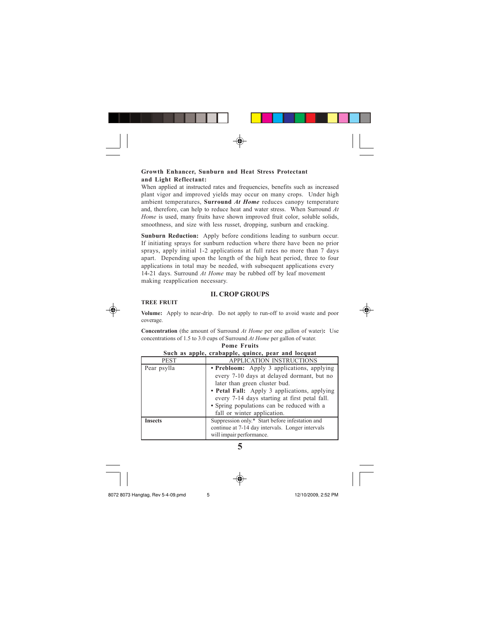

## **Growth Enhancer, Sunburn and Heat Stress Protectant and Light Reflectant:**

When applied at instructed rates and frequencies, benefits such as increased plant vigor and improved yields may occur on many crops. Under high ambient temperatures, **Surround** *At Home* reduces canopy temperature and, therefore, can help to reduce heat and water stress. When Surround *At Home* is used, many fruits have shown improved fruit color, soluble solids, smoothness, and size with less russet, dropping, sunburn and cracking.

**Sunburn Reduction:** Apply before conditions leading to sunburn occur. If initiating sprays for sunburn reduction where there have been no prior sprays, apply initial 1-2 applications at full rates no more than 7 days apart. Depending upon the length of the high heat period, three to four applications in total may be needed, with subsequent applications every 14-21 days. Surround *At Home* may be rubbed off by leaf movement making reapplication necessary.

## **II. CROP GROUPS**



**Volume:** Apply to near-drip. Do not apply to run-off to avoid waste and poor coverage.



**Concentration** (the amount of Surround *At Home* per one gallon of water)**:** Use concentrations of 1.5 to 3.0 cups of Surround *At Home* per gallon of water. **Pome Fruits**

|                | Such as apple, crabapple, quince, pear and locquat                                                                                                                                                                                                                       |
|----------------|--------------------------------------------------------------------------------------------------------------------------------------------------------------------------------------------------------------------------------------------------------------------------|
| <b>PEST</b>    | <b>APPLICATION INSTRUCTIONS</b>                                                                                                                                                                                                                                          |
| Pear psylla    | • Prebloom: Apply 3 applications, applying<br>every 7-10 days at delayed dormant, but no<br>later than green cluster bud.<br>• Petal Fall: Apply 3 applications, applying<br>every 7-14 days starting at first petal fall.<br>• Spring populations can be reduced with a |
|                | fall or winter application.                                                                                                                                                                                                                                              |
| <b>Insects</b> | Suppression only.* Start before infestation and<br>continue at 7-14 day intervals. Longer intervals<br>will impair performance.                                                                                                                                          |

**5**

8072 8073 Hangtag, Rev 5-4-09.pmd 5 12/10/2009, 2:52 PM

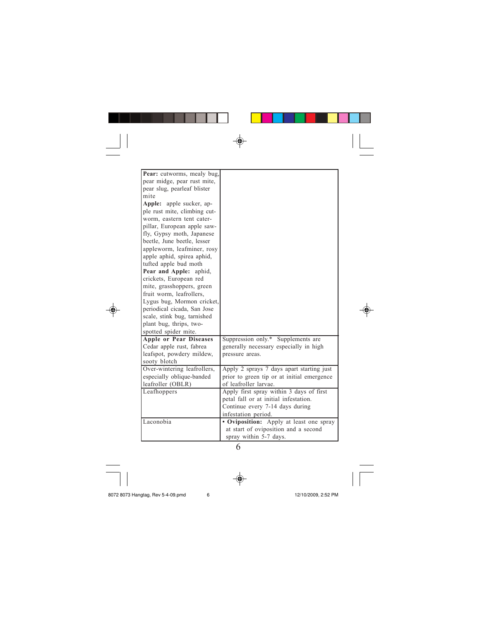

6

8072 8073 Hangtag, Rev 5-4-09.pmd 6 12/10/2009, 2:52 PM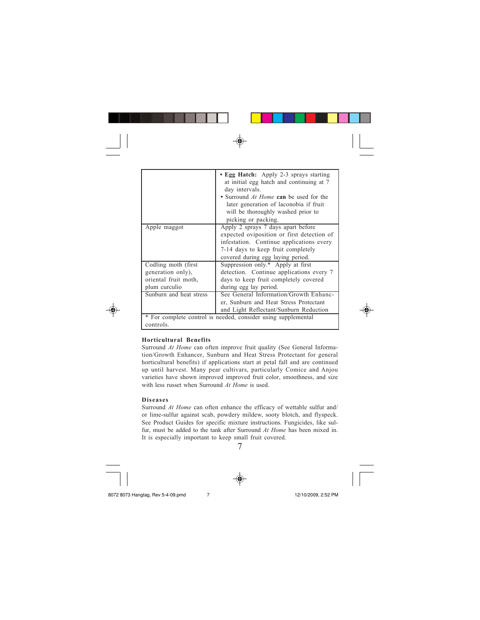|                                                                                    | • Egg Hatch: Apply 2-3 sprays starting<br>at initial egg hatch and continuing at 7<br>day intervals.<br>• Surround At Home can be used for the<br>later generation of laconobia if fruit<br>will be thoroughly washed prior to<br>picking or packing. |
|------------------------------------------------------------------------------------|-------------------------------------------------------------------------------------------------------------------------------------------------------------------------------------------------------------------------------------------------------|
| Apple maggot                                                                       | Apply 2 sprays 7 days apart before<br>expected oviposition or first detection of<br>infestation. Continue applications every<br>7-14 days to keep fruit completely<br>covered during egg laying period.                                               |
| Codling moth (first)<br>generation only),<br>oriental fruit moth,<br>plum curculio | Suppression only.* Apply at first<br>detection. Continue applications every 7<br>days to keep fruit completely covered<br>during egg lay period.                                                                                                      |
| Sunburn and heat stress                                                            | See General Information/Growth Enhanc-<br>er, Sunburn and Heat Stress Protectant<br>and Light Reflectant/Sunburn Reduction                                                                                                                            |

## **Horticultural Benefits**

Surround *At Home* can often improve fruit quality (See General Information/Growth Enhancer, Sunburn and Heat Stress Protectant for general horticultural benefits) if applications start at petal fall and are continued up until harvest. Many pear cultivars, particularly Comice and Anjou varieties have shown improved improved fruit color, smoothness, and size with less russet when Surround *At Home* is used.

#### **Diseases**

Surround *At Home* can often enhance the efficacy of wettable sulfur and/ or lime-sulfur against scab, powdery mildew, sooty blotch, and flyspeck. See Product Guides for specific mixture instructions. Fungicides, like sulfur, must be added to the tank after Surround *At Home* has been mixed in. It is especially important to keep small fruit covered.

7

8072 8073 Hangtag, Rev 5-4-09.pmd 7 12/10/2009, 2:52 PM

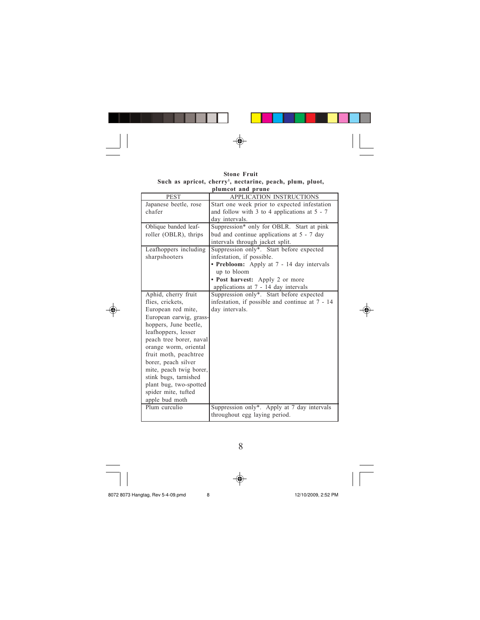

**Stone Fruit Such as apricot, cherry<sup>1</sup> , nectarine, peach, plum, pluot, plumcot and prune**

| <b>PEST</b>             | <b>APPLICATION INSTRUCTIONS</b>                 |
|-------------------------|-------------------------------------------------|
| Japanese beetle, rose   | Start one week prior to expected infestation    |
| chafer                  | and follow with 3 to 4 applications at $5 - 7$  |
|                         | day intervals.                                  |
| Oblique banded leaf-    | Suppression* only for OBLR. Start at pink       |
| roller (OBLR), thrips   | bud and continue applications at $5 - 7$ day    |
|                         | intervals through jacket split.                 |
| Leafhoppers including   | Suppression only*. Start before expected        |
| sharpshooters           | infestation, if possible.                       |
|                         | • Prebloom: Apply at 7 - 14 day intervals       |
|                         | up to bloom                                     |
|                         | • Post harvest: Apply 2 or more                 |
|                         | applications at 7 - 14 day intervals            |
| Aphid, cherry fruit     | Suppression only*. Start before expected        |
| flies, crickets,        | infestation, if possible and continue at 7 - 14 |
| European red mite,      | day intervals.                                  |
| European earwig, grass- |                                                 |
| hoppers, June beetle,   |                                                 |
| leafhoppers, lesser     |                                                 |
| peach tree borer, naval |                                                 |
| orange worm, oriental   |                                                 |
| fruit moth, peachtree   |                                                 |
| borer, peach silver     |                                                 |
| mite, peach twig borer, |                                                 |
| stink bugs, tarnished   |                                                 |
| plant bug, two-spotted  |                                                 |
| spider mite, tufted     |                                                 |
| apple bud moth          |                                                 |
| Plum curculio           | Suppression only*. Apply at 7 day intervals     |
|                         | throughout egg laying period.                   |

8

 $\overline{\bigcirc}$ 

 $\color{red}\blacklozenge$ 

8072 8073 Hangtag, Rev 5-4-09.pmd 8 12/10/2009, 2:52 PM

◈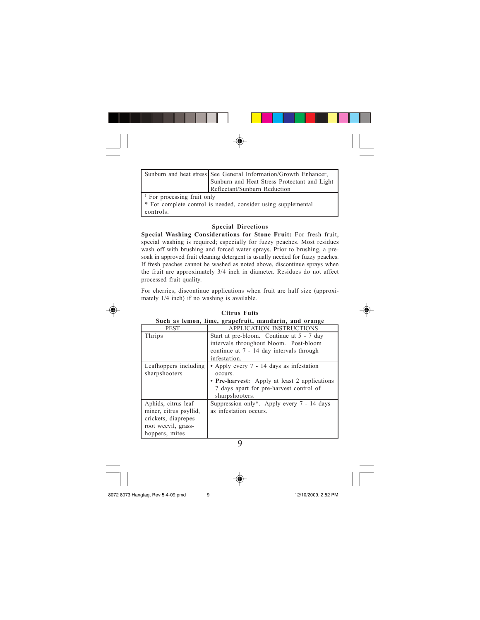|  | Sunburn and heat stress See General Information/Growth Enhancer, |  |
|--|------------------------------------------------------------------|--|

|                           | runoum and near siress socc General Information/Growth Emnancer, |
|---------------------------|------------------------------------------------------------------|
|                           | Sunburn and Heat Stress Protectant and Light                     |
|                           | Reflectant/Sunburn Reduction                                     |
| For processing fruit only |                                                                  |
| . <del>.</del>            |                                                                  |

\* For complete control is needed, consider using supplemental controls.

#### **Special Directions**

**Special Washing Considerations for Stone Fruit:** For fresh fruit, special washing is required; especially for fuzzy peaches. Most residues wash off with brushing and forced water sprays. Prior to brushing, a presoak in approved fruit cleaning detergent is usually needed for fuzzy peaches. If fresh peaches cannot be washed as noted above, discontinue sprays when the fruit are approximately 3/4 inch in diameter. Residues do not affect processed fruit quality.

For cherries, discontinue applications when fruit are half size (approximately 1/4 inch) if no washing is available.



1

|                        | Such as lemon, lime, grapefruit, mandarin, and orange |
|------------------------|-------------------------------------------------------|
| <b>PEST</b>            | <b>APPLICATION INSTRUCTIONS</b>                       |
| Thrips                 | Start at pre-bloom. Continue at 5 - 7 day             |
|                        | intervals throughout bloom. Post-bloom                |
|                        | continue at 7 - 14 day intervals through              |
|                        | infestation.                                          |
| Leafhoppers including  | • Apply every 7 - 14 days as infestation              |
| sharpshooters          | occurs.                                               |
|                        | • Pre-harvest: Apply at least 2 applications          |
|                        | 7 days apart for pre-harvest control of               |
|                        | sharpshooters.                                        |
| Aphids, citrus leaf    | Suppression only*. Apply every $7 - 14$ days          |
| miner, citrus psyllid, | as infestation occurs.                                |
| crickets, diaprepes    |                                                       |
| root weevil, grass-    |                                                       |
| hoppers, mites         |                                                       |

# **Citrus Fuits**

9

8072 8073 Hangtag, Rev 5-4-09.pmd 9 12/10/2009, 2:52 PM

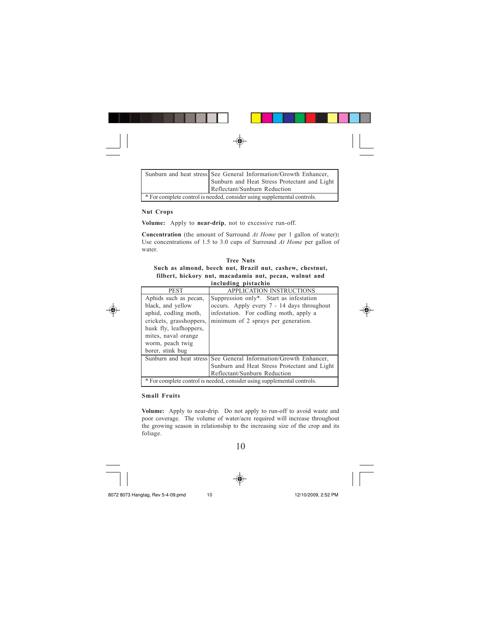| Sunburn and heat stress See General Information/Growth Enhancer, |  |  |  |
|------------------------------------------------------------------|--|--|--|

| Sunburn and heat stress See General Information/Growth Enhancer,        |
|-------------------------------------------------------------------------|
| Sunburn and Heat Stress Protectant and Light                            |
| Reflectant/Sunburn Reduction                                            |
| * For complete control is needed, consider using supplemental controls. |

## **Nut Crops**

**Volume:** Apply to **near-drip**, not to excessive run-off.

**Concentration** (the amount of Surround *At Home* per 1 gallon of water)**:** Use concentrations of 1.5 to 3.0 cups of Surround *At Home* per gallon of water.

| <b>Tree Nuts</b>                                         |
|----------------------------------------------------------|
| Such as almond, beech nut, Brazil nut, cashew, chestnut, |
| filbert, hickory nut, macadamia nut, pecan, walnut and   |
| including pistachio                                      |

| <b>PEST</b>                                                             | <b>APPLICATION INSTRUCTIONS</b>                                  |
|-------------------------------------------------------------------------|------------------------------------------------------------------|
| Aphids such as pecan.                                                   | Suppression only*. Start as infestation                          |
| black, and yellow                                                       | occurs. Apply every 7 - 14 days throughout                       |
| aphid, codling moth,                                                    | infestation. For codling moth, apply a                           |
| crickets, grasshoppers,                                                 | minimum of 2 sprays per generation.                              |
| husk fly, leafhoppers,                                                  |                                                                  |
| mites, naval orange                                                     |                                                                  |
| worm, peach twig                                                        |                                                                  |
| borer, stink bug                                                        |                                                                  |
|                                                                         | Sunburn and heat stress See General Information/Growth Enhancer, |
|                                                                         | Sunburn and Heat Stress Protectant and Light                     |
|                                                                         | Reflectant/Sunburn Reduction                                     |
| * For complete control is needed, consider using supplemental controls. |                                                                  |

## **Small Fruits**

**Volume:** Apply to near-drip. Do not apply to run-off to avoid waste and poor coverage. The volume of water/acre required will increase throughout the growing season in relationship to the increasing size of the crop and its foliage.

10





8072 8073 Hangtag, Rev 5-4-09.pmd 10 10 12/10/2009, 2:52 PM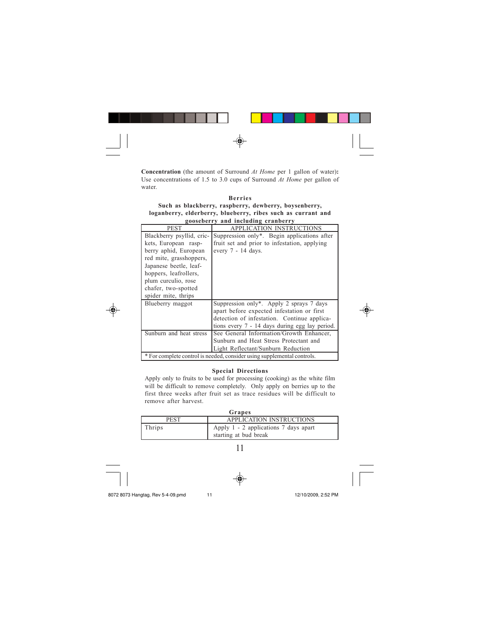

**Concentration** (the amount of Surround *At Home* per 1 gallon of water)**:** Use concentrations of 1.5 to 3.0 cups of Surround *At Home* per gallon of water.

| <b>Berries</b>                                               |
|--------------------------------------------------------------|
| Such as blackberry, raspberry, dewberry, boysenberry,        |
| loganberry, elderberry, blueberry, ribes such as currant and |
| gooseberry and including cranberry                           |

| $\epsilon$ $\alpha$ $\beta$ $\alpha$ $\beta$ $\gamma$ $\alpha$ $\beta$ $\alpha$ $\beta$ $\alpha$ $\beta$ $\beta$ $\beta$ $\gamma$ $\beta$ $\gamma$ $\gamma$ $\gamma$ $\gamma$ |                                                |  |
|-------------------------------------------------------------------------------------------------------------------------------------------------------------------------------|------------------------------------------------|--|
| <b>PEST</b>                                                                                                                                                                   | <b>APPLICATION INSTRUCTIONS</b>                |  |
| Blackberry psyllid, cric-                                                                                                                                                     | Suppression only*. Begin applications after    |  |
| kets, European rasp-                                                                                                                                                          | fruit set and prior to infestation, applying   |  |
| berry aphid, European                                                                                                                                                         | every 7 - 14 days.                             |  |
| red mite, grasshoppers,                                                                                                                                                       |                                                |  |
| Japanese beetle, leaf-                                                                                                                                                        |                                                |  |
| hoppers, leafrollers,                                                                                                                                                         |                                                |  |
| plum curculio, rose                                                                                                                                                           |                                                |  |
| chafer, two-spotted                                                                                                                                                           |                                                |  |
| spider mite, thrips                                                                                                                                                           |                                                |  |
| Blueberry maggot                                                                                                                                                              | Suppression only*. Apply 2 sprays 7 days       |  |
|                                                                                                                                                                               | apart before expected infestation or first     |  |
|                                                                                                                                                                               | detection of infestation. Continue applica-    |  |
|                                                                                                                                                                               | tions every 7 - 14 days during egg lay period. |  |
| Sunburn and heat stress                                                                                                                                                       | See General Information/Growth Enhancer,       |  |
|                                                                                                                                                                               | Sunburn and Heat Stress Protectant and         |  |
|                                                                                                                                                                               | Light Reflectant/Sunburn Reduction             |  |
| * For complete control is needed, consider using supplemental controls.                                                                                                       |                                                |  |

## **Special Directions**

Apply only to fruits to be used for processing (cooking) as the white film will be difficult to remove completely. Only apply on berries up to the first three weeks after fruit set as trace residues will be difficult to remove after harvest.

| Grapes      |                                                                |  |
|-------------|----------------------------------------------------------------|--|
| <b>PEST</b> | APPLICATION INSTRUCTIONS                                       |  |
| Thrips      | Apply 1 - 2 applications 7 days apart<br>starting at bud break |  |
|             |                                                                |  |

◈



8072 8073 Hangtag, Rev 5-4-09.pmd 11 12/10/2009, 2:52 PM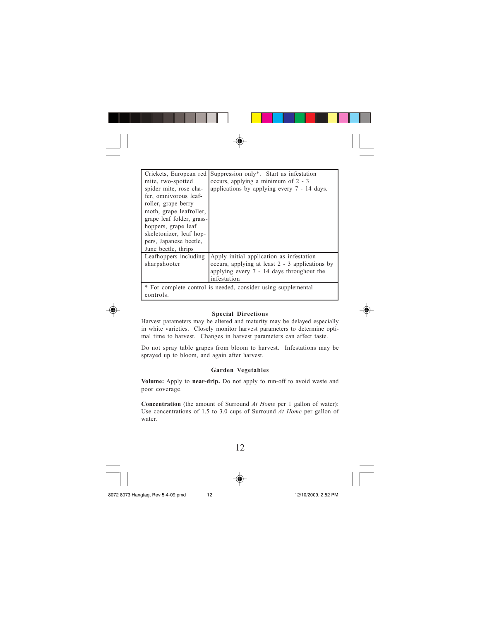| Crickets, European red                                        | Suppression only*. Start as infestation         |
|---------------------------------------------------------------|-------------------------------------------------|
| mite, two-spotted                                             | occurs, applying a minimum of 2 - 3             |
| spider mite, rose cha-                                        | applications by applying every $7 - 14$ days.   |
| fer, omnivorous leaf-                                         |                                                 |
| roller, grape berry                                           |                                                 |
| moth, grape leafroller,                                       |                                                 |
| grape leaf folder, grass-                                     |                                                 |
| hoppers, grape leaf                                           |                                                 |
| skeletonizer, leaf hop-                                       |                                                 |
| pers, Japanese beetle,                                        |                                                 |
| June beetle, thrips                                           |                                                 |
| Leafhoppers including                                         | Apply initial application as infestation        |
| sharpshooter                                                  | occurs, applying at least 2 - 3 applications by |
|                                                               | applying every $7 - 14$ days throughout the     |
|                                                               | infestation                                     |
| * For complete control is needed, consider using supplemental |                                                 |
| controls.                                                     |                                                 |

## **Special Directions**

Harvest parameters may be altered and maturity may be delayed especially in white varieties. Closely monitor harvest parameters to determine optimal time to harvest. Changes in harvest parameters can affect taste.

Do not spray table grapes from bloom to harvest. Infestations may be sprayed up to bloom, and again after harvest.

## **Garden Vegetables**

**Volume:** Apply to **near-drip.** Do not apply to run-off to avoid waste and poor coverage.

**Concentration** (the amount of Surround *At Home* per 1 gallon of water): Use concentrations of 1.5 to 3.0 cups of Surround *At Home* per gallon of water.

12



◈





◈

8072 8073 Hangtag, Rev 5-4-09.pmd 12 12/10/2009, 2:52 PM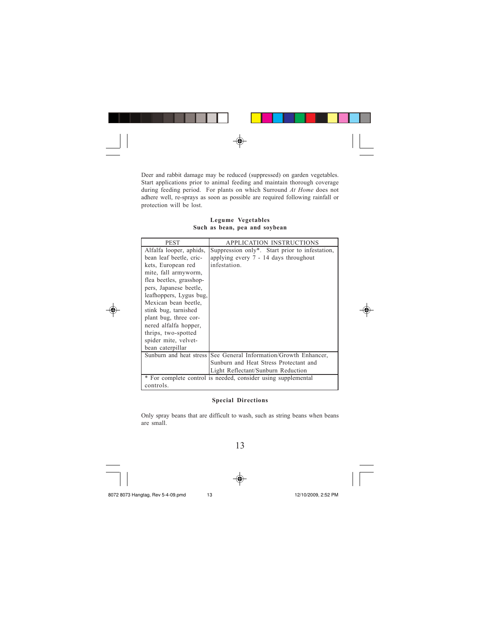

Deer and rabbit damage may be reduced (suppressed) on garden vegetables. Start applications prior to animal feeding and maintain thorough coverage during feeding period. For plants on which Surround *At Home* does not adhere well, re-sprays as soon as possible are required following rainfall or protection will be lost.

**Legume Vegetables Such as bean, pea and soybean**

| <b>PEST</b>             | APPLICATION INSTRUCTIONS                                      |
|-------------------------|---------------------------------------------------------------|
| Alfalfa looper, aphids, | Suppression only*. Start prior to infestation,                |
| bean leaf beetle, cric- | applying every 7 - 14 days throughout                         |
| kets, European red      | infestation.                                                  |
| mite, fall armyworm,    |                                                               |
| flea beetles, grasshop- |                                                               |
| pers, Japanese beetle,  |                                                               |
| leafhoppers, Lygus bug, |                                                               |
| Mexican bean beetle.    |                                                               |
| stink bug, tarnished    |                                                               |
| plant bug, three cor-   |                                                               |
| nered alfalfa hopper,   |                                                               |
| thrips, two-spotted     |                                                               |
| spider mite, velvet-    |                                                               |
| bean caterpillar        |                                                               |
| Sunburn and heat stress | See General Information/Growth Enhancer,                      |
|                         | Sunburn and Heat Stress Protectant and                        |
|                         | Light Reflectant/Sunburn Reduction                            |
|                         | * For complete control is needed, consider using supplemental |
| controls.               |                                                               |

## **Special Directions**

Only spray beans that are difficult to wash, such as string beans when beans are small.

13



⊕







8072 8073 Hangtag, Rev 5-4-09.pmd 13 12/10/2009, 2:52 PM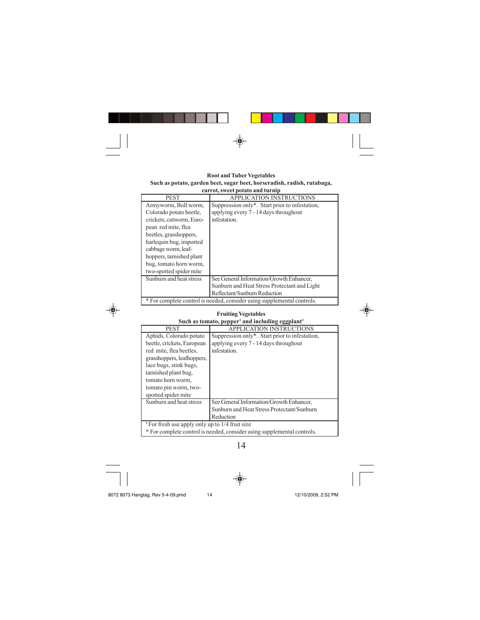

#### **Root and Tuber Vegetables Such as potato, garden beet, sugar beet, horseradish, radish, rutabaga, carrot, sweet potato and turnip**

| <b>PEST</b>                                                             | <b>APPLICATION INSTRUCTIONS</b>                |
|-------------------------------------------------------------------------|------------------------------------------------|
| Armyworm, Boll worm,                                                    | Suppression only*. Start prior to infestation, |
| Colorado potato beetle.                                                 | applying every 7 - 14 days throughout          |
| crickets, cutworm, Euro-                                                | infestation.                                   |
| pean red mite, flea                                                     |                                                |
| beetles, grasshoppers,                                                  |                                                |
| harlequin bug, imported                                                 |                                                |
| cabbage worm, leaf-                                                     |                                                |
| hoppers, tarnished plant                                                |                                                |
| bug, tomato horn worm,                                                  |                                                |
| two-spotted spider mite                                                 |                                                |
| Sunburn and heat stress                                                 | See General Information/Growth Enhancer,       |
|                                                                         | Sunburn and Heat Stress Protectant and Light   |
|                                                                         | Reflectant/Sunburn Reduction                   |
| * For complete control is needed, consider using supplemental controls. |                                                |

| <b>Fruiting Vegetables</b>                                              |                                                |  |
|-------------------------------------------------------------------------|------------------------------------------------|--|
| Such as tomato, pepper <sup>1</sup> and including eggplant <sup>1</sup> |                                                |  |
| <b>PEST</b>                                                             | <b>APPLICATION INSTRUCTIONS</b>                |  |
| Aphids, Colorado potato                                                 | Suppression only*. Start prior to infestation, |  |
| beetle, crickets, European                                              | applying every 7 - 14 days throughout          |  |
| red mite, flea beetles,                                                 | infestation.                                   |  |
| grasshoppers, leafhoppers,                                              |                                                |  |
| lace bugs, stink bugs,                                                  |                                                |  |
| tarnished plant bug,                                                    |                                                |  |
| tomato horn worm,                                                       |                                                |  |
| tomato pin worm, two-                                                   |                                                |  |
| spotted spider mite                                                     |                                                |  |
| Sunburn and heat stress                                                 | See General Information/Growth Enhancer,       |  |
|                                                                         | Sunburn and Heat Stress Protectant/Sunburn     |  |
|                                                                         | Reduction                                      |  |
| <sup>1</sup> For fresh use apply only up to 1/4 fruit size              |                                                |  |
| * For complete control is needed, consider using supplemental controls. |                                                |  |

14

8072 8073 Hangtag, Rev 5-4-09.pmd 14 14 12/10/2009, 2:52 PM

 $\bigcirc \hspace{-1.4mm} \bigcirc$ 

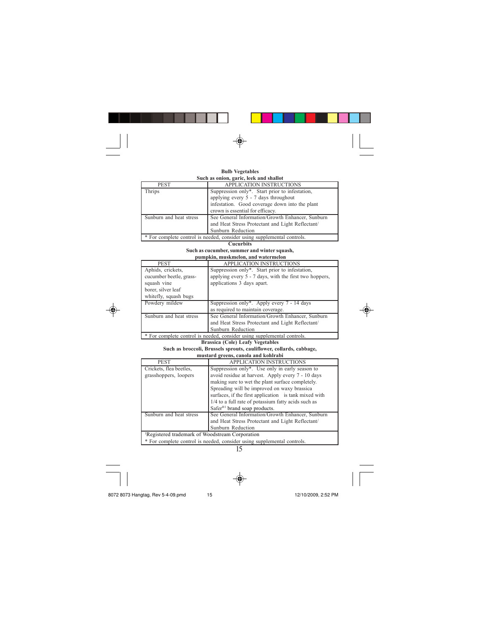

## **Bulb Vegetables**

| Such as onion, garic, leek and shallot                                  |                                                  |
|-------------------------------------------------------------------------|--------------------------------------------------|
| <b>PEST</b>                                                             | <b>APPLICATION INSTRUCTIONS</b>                  |
| Thrips                                                                  | Suppression only*. Start prior to infestation,   |
|                                                                         | applying every 5 - 7 days throughout             |
|                                                                         | infestation. Good coverage down into the plant   |
|                                                                         | crown is essential for efficacy.                 |
| Sunburn and heat stress                                                 | See General Information/Growth Enhancer, Sunburn |
|                                                                         | and Heat Stress Protectant and Light Reflectant/ |
|                                                                         | Sunburn Reduction                                |
| * For complete control is needed, consider using supplemental controls. |                                                  |

**Cucurbits**

#### **Such as cucumber, summer and winter squash, pumpkin, muskmelon, and watermelon**

| <b>PEST</b>                                                             | <b>APPLICATION INSTRUCTIONS</b>                        |
|-------------------------------------------------------------------------|--------------------------------------------------------|
| Aphids, crickets,                                                       | Suppression only*. Start prior to infestation,         |
| cucumber beetle, grass-                                                 | applying every 5 - 7 days, with the first two hoppers, |
| squash vine                                                             | applications 3 days apart.                             |
| borer, silver leaf                                                      |                                                        |
| whitefly, squash bugs                                                   |                                                        |
| Powdery mildew                                                          | Suppression only*. Apply every $7 - 14$ days           |
|                                                                         | as required to maintain coverage.                      |
| Sunburn and heat stress                                                 | See General Information/Growth Enhancer, Sunburn       |
|                                                                         | and Heat Stress Protectant and Light Reflectant/       |
|                                                                         | Sunburn Reduction                                      |
| * For complete control is needed, consider using supplemental controls. |                                                        |



**Brassica (Cole) Leafy Vegetables**

#### **Such as broccoli, Brussels sprouts, cauliflower, collards, cabbage, mustard greens, canola and kohlrabi**

| <b>PEST</b>                                                             | <b>APPLICATION INSTRUCTIONS</b>                       |  |
|-------------------------------------------------------------------------|-------------------------------------------------------|--|
| Crickets, flea beetles,                                                 | Suppression only*. Use only in early season to        |  |
| grasshoppers, loopers                                                   | avoid residue at harvest. Apply every 7 - 10 days     |  |
|                                                                         | making sure to wet the plant surface completely.      |  |
|                                                                         | Spreading will be improved on waxy brassica           |  |
|                                                                         | surfaces, if the first application is tank mixed with |  |
|                                                                         | 1/4 to a full rate of potassium fatty acids such as   |  |
|                                                                         | Safer <sup>®1</sup> brand soap products.              |  |
| Sunburn and heat stress                                                 | See General Information/Growth Enhancer, Sunburn      |  |
|                                                                         | and Heat Stress Protectant and Light Reflectant/      |  |
|                                                                         | Sunburn Reduction                                     |  |
| <sup>1</sup> Registered trademark of Woodstream Corporation             |                                                       |  |
| * For complete control is needed, consider using supplemental controls. |                                                       |  |

15

8072 8073 Hangtag, Rev 5-4-09.pmd 15 12/10/2009, 2:52 PM

 $\color{red}\blacklozenge$ 

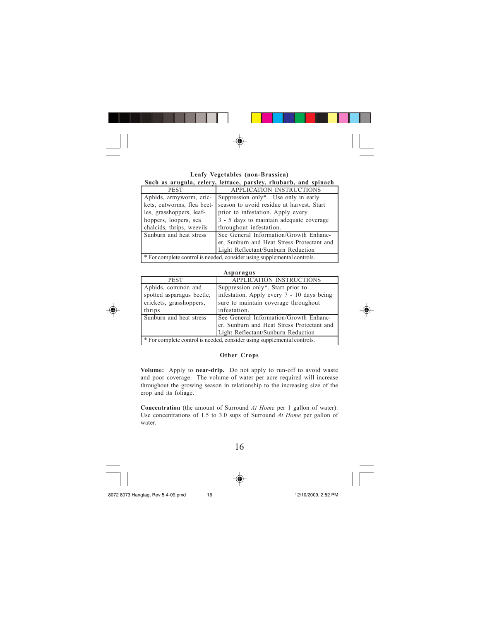| ______________________________ |  |
|--------------------------------|--|
|                                |  |

| Leafy Vegetables (non-Brassica)                                         |                                           |  |
|-------------------------------------------------------------------------|-------------------------------------------|--|
| Such as arugula, celery, lettuce, parsley, rhubarb, and spinach         |                                           |  |
| <b>PEST</b>                                                             | APPLICATION INSTRUCTIONS                  |  |
| Aphids, armyworm, cric-                                                 | Suppression only*. Use only in early      |  |
| kets, cutworms, flea beet-                                              | season to avoid residue at harvest. Start |  |
| les, grasshoppers, leaf-                                                | prior to infestation. Apply every         |  |
| hoppers, loopers, sea                                                   | 3 - 5 days to maintain adequate coverage  |  |
| chalcids, thrips, weevils                                               | throughout infestation.                   |  |
| Sunburn and heat stress                                                 | See General Information/Growth Enhanc-    |  |
| er, Sunburn and Heat Stress Protectant and                              |                                           |  |
|                                                                         | Light Reflectant/Sunburn Reduction        |  |
| * For complete control is needed, consider using supplemental controls. |                                           |  |



| Asparagus                                                                            |                                                                                                                                         |  |
|--------------------------------------------------------------------------------------|-----------------------------------------------------------------------------------------------------------------------------------------|--|
| <b>PEST</b>                                                                          | <b>APPLICATION INSTRUCTIONS</b>                                                                                                         |  |
| Aphids, common and<br>spotted asparagus beetle,<br>crickets, grasshoppers,<br>thrips | Suppression only*. Start prior to<br>infestation. Apply every 7 - 10 days being<br>sure to maintain coverage throughout<br>infestation. |  |
| Sunburn and heat stress                                                              | See General Information/Growth Enhanc-<br>er, Sunburn and Heat Stress Protectant and<br>Light Reflectant/Sunburn Reduction              |  |
| * For complete control is needed, consider using supplemental controls.              |                                                                                                                                         |  |

## **Other Crops**

**Volume:** Apply to **near-drip.** Do not apply to run-off to avoid waste and poor coverage. The volume of water per acre required will increase throughout the growing season in relationship to the increasing size of the crop and its foliage.

**Concentration** (the amount of Surround *At Home* per 1 gallon of water): Use concentrations of 1.5 to 3.0 sups of Surround *At Home* per gallon of water.





16



8072 8073 Hangtag, Rev 5-4-09.pmd 16 16 12/10/2009, 2:52 PM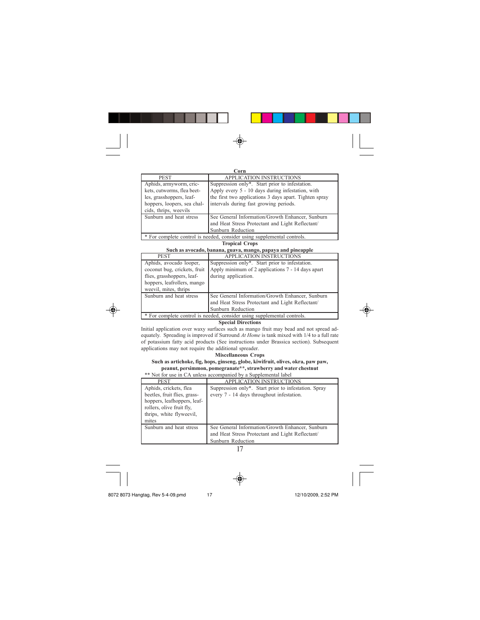| _______________________________ |  |  |
|---------------------------------|--|--|
|                                 |  |  |
|                                 |  |  |

| Corn                                                                                                             |                                                                                                                                                                                                        |
|------------------------------------------------------------------------------------------------------------------|--------------------------------------------------------------------------------------------------------------------------------------------------------------------------------------------------------|
| <b>PEST</b>                                                                                                      | <b>APPLICATION INSTRUCTIONS</b>                                                                                                                                                                        |
| Aphids, armyworm, cric-<br>kets, cutworms, flea beet-<br>les, grasshoppers, leaf-<br>hoppers, loopers, sea chal- | Suppression only*. Start prior to infestation.<br>Apply every 5 - 10 days during infestation, with<br>the first two applications 3 days apart. Tighten spray<br>intervals during fast growing periods. |
| cids, thrips, weevils                                                                                            |                                                                                                                                                                                                        |
| Sunburn and heat stress                                                                                          | See General Information/Growth Enhancer, Sunburn<br>and Heat Stress Protectant and Light Reflectant/<br>Sunburn Reduction                                                                              |
|                                                                                                                  |                                                                                                                                                                                                        |
| * For complete control is needed, consider using supplemental controls.                                          |                                                                                                                                                                                                        |

#### **Tropical Crops Such as avocado, banana, guava, mango, papaya and pineapple**

| such as avocado, bahaha, guava, mango, papaya and pineappie             |                                                   |
|-------------------------------------------------------------------------|---------------------------------------------------|
| <b>PEST</b>                                                             | <b>APPLICATION INSTRUCTIONS</b>                   |
| Aphids, avocado looper,                                                 | Suppression only*. Start prior to infestation.    |
| coconut bug, crickets, fruit                                            | Apply minimum of 2 applications 7 - 14 days apart |
| flies, grasshoppers, leaf-                                              | during application.                               |
| hoppers, leafrollers, mango                                             |                                                   |
| weevil, mites, thrips                                                   |                                                   |
| Sunburn and heat stress                                                 | See General Information/Growth Enhancer, Sunburn  |
|                                                                         | and Heat Stress Protectant and Light Reflectant/  |
|                                                                         | Sunburn Reduction                                 |
| * For complete control is needed, consider using supplemental controls. |                                                   |
| .<br>$\sim$                                                             |                                                   |

## **Special Directions**

Initial application over waxy surfaces such as mango fruit may bead and not spread adequately. Spreading is improved if Surround *At Home* is tank mixed with 1/4 to a full rate of potassium fatty acid products (See instructions under Brassica section). Subsequent applications may not require the additional spreader.

**Miscellaneous Crops**

#### **Such as artichoke, fig, hops, ginseng, globe, kiwifruit, olives, okra, paw paw, peanut, persimmon, pomegranate\*\*, strawberry and water chestnut** \*\* Not for use in CA unless accompanied by a Supplemental label

| <b>PEST</b>                                                                                   | <b>APPLICATION INSTRUCTIONS</b>                                                                                           |
|-----------------------------------------------------------------------------------------------|---------------------------------------------------------------------------------------------------------------------------|
| Aphids, crickets, flea<br>beetles, fruit flies, grass-                                        | Suppression only*. Start prior to infestation. Spray<br>every 7 - 14 days throughout infestation.                         |
| hoppers, leafhoppers, leaf-<br>rollers, olive fruit fly,<br>thrips, white flyweevil,<br>mites |                                                                                                                           |
| Sunburn and heat stress                                                                       | See General Information/Growth Enhancer, Sunburn<br>and Heat Stress Protectant and Light Reflectant/<br>Sunburn Reduction |

17

◈



8072 8073 Hangtag, Rev 5-4-09.pmd 17 12/10/2009, 2:52 PM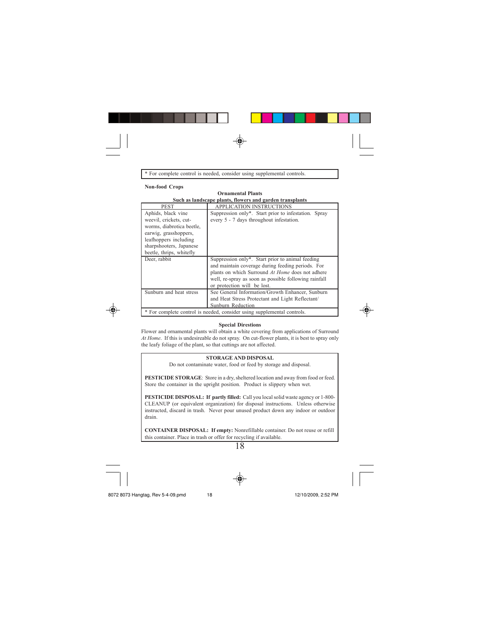

\* For complete control is needed, consider using supplemental controls.

#### **Non-food Crops**

#### **Ornamental Plants Such as landscape plants, flowers and garden transplants**

| <b>PEST</b>                                                             | <b>APPLICATION INSTRUCTIONS</b>                       |
|-------------------------------------------------------------------------|-------------------------------------------------------|
| Aphids, black vine                                                      | Suppression only*. Start prior to infestation. Spray  |
| weevil, crickets, cut-                                                  | every 5 - 7 days throughout infestation.              |
| worms, diabrotica beetle,                                               |                                                       |
| earwig, grasshoppers,                                                   |                                                       |
| leafhoppers including                                                   |                                                       |
| sharpshooters, Japanese                                                 |                                                       |
| beetle, thrips, whitefly                                                |                                                       |
| Deer, rabbit                                                            | Suppression only*. Start prior to animal feeding      |
|                                                                         | and maintain coverage during feeding periods. For     |
|                                                                         | plants on which Surround At Home does not adhere      |
|                                                                         | well, re-spray as soon as possible following rainfall |
|                                                                         | or protection will be lost.                           |
| Sunburn and heat stress                                                 | See General Information/Growth Enhancer, Sunburn      |
|                                                                         | and Heat Stress Protectant and Light Reflectant/      |
|                                                                         | Sunburn Reduction                                     |
| * For complete control is needed, consider using supplemental controls. |                                                       |



## **Special Direstions**

Flower and ornamental plants will obtain a white covering from applications of Surround *At Home*. If this is undesireable do not spray. On cut-flower plants, it is best to spray only the leafy foliage of the plant, so that cuttings are not affected.

## **STORAGE AND DISPOSAL**

Do not contaminate water, food or feed by storage and disposal.

**PESTICIDE STORAGE**: Store in a dry, sheltered location and away from food or feed. Store the container in the upright position. Product is slippery when wet.

**PESTICIDE DISPOSAL: If partly filled:** Call you local solid waste agency or 1-800- CLEANUP (or equivalent organization) for disposal instructions. Unless otherwise instructed, discard in trash. Never pour unused product down any indoor or outdoor drain.

**CONTAINER DISPOSAL: If empty:** Nonrefillable container. Do not reuse or refill this container. Place in trash or offer for recycling if available.

18





8072 8073 Hangtag, Rev 5-4-09.pmd 18 18 12/10/2009, 2:52 PM